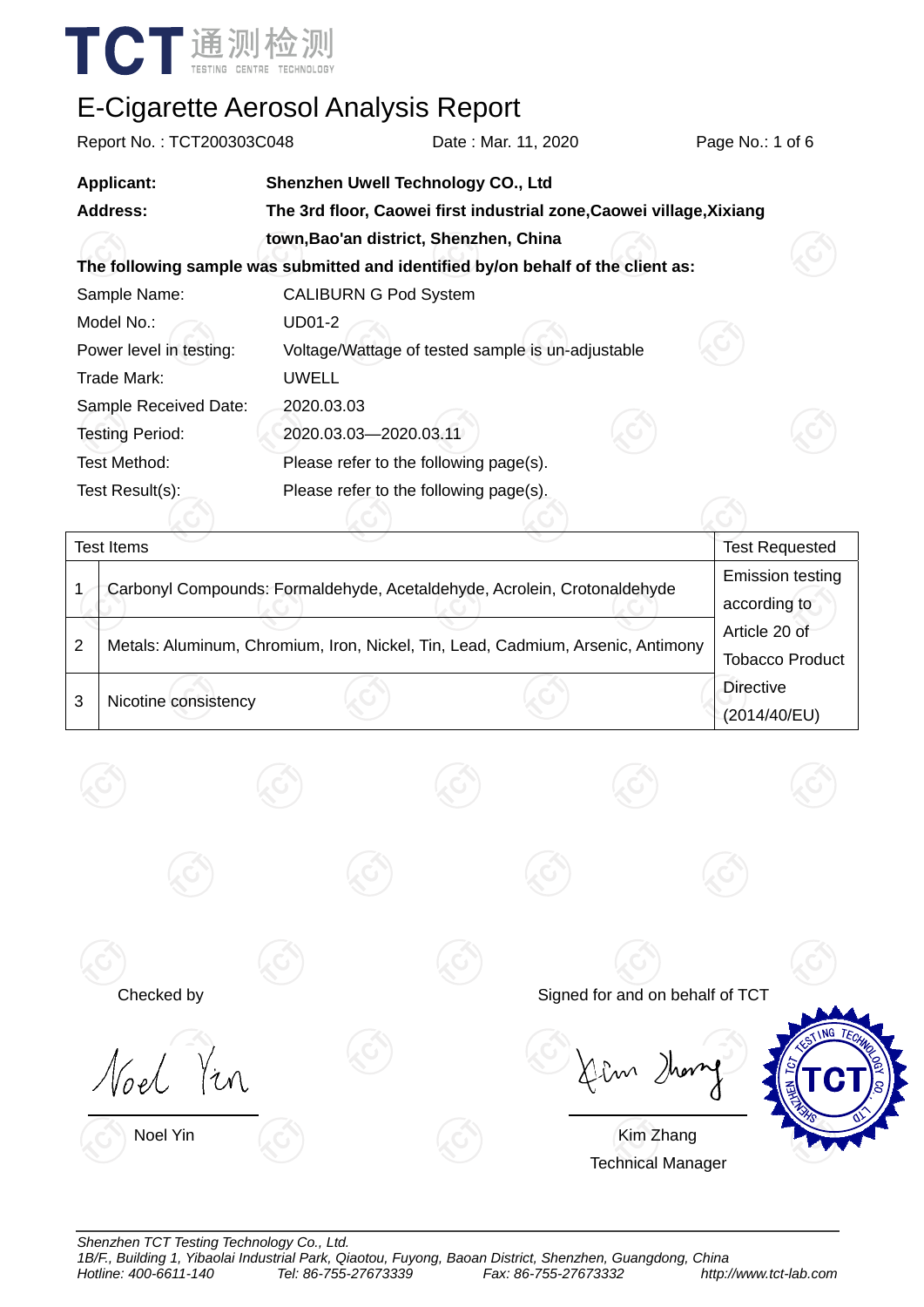

| Report No.: TCT200303C048                                                            |                                                                                  | Date: Mar. 11, 2020 | Page No.: 1 of 6 |                       |  |  |  |
|--------------------------------------------------------------------------------------|----------------------------------------------------------------------------------|---------------------|------------------|-----------------------|--|--|--|
| <b>Applicant:</b>                                                                    | Shenzhen Uwell Technology CO., Ltd                                               |                     |                  |                       |  |  |  |
| <b>Address:</b>                                                                      | The 3rd floor, Caowei first industrial zone, Caowei village, Xixiang             |                     |                  |                       |  |  |  |
|                                                                                      | town, Bao'an district, Shenzhen, China                                           |                     |                  |                       |  |  |  |
|                                                                                      | The following sample was submitted and identified by/on behalf of the client as: |                     |                  |                       |  |  |  |
| Sample Name:                                                                         | <b>CALIBURN G Pod System</b>                                                     |                     |                  |                       |  |  |  |
| Model No.:                                                                           | <b>UD01-2</b>                                                                    |                     |                  |                       |  |  |  |
| Power level in testing:                                                              | Voltage/Wattage of tested sample is un-adjustable                                |                     |                  |                       |  |  |  |
| Trade Mark:                                                                          | <b>UWELL</b>                                                                     |                     |                  |                       |  |  |  |
| Sample Received Date:                                                                | 2020.03.03                                                                       |                     |                  |                       |  |  |  |
| <b>Testing Period:</b>                                                               | 2020.03.03-2020.03.11                                                            |                     |                  |                       |  |  |  |
| Test Method:                                                                         | Please refer to the following page(s).                                           |                     |                  |                       |  |  |  |
| Test Result(s):                                                                      | Please refer to the following page(s).                                           |                     |                  |                       |  |  |  |
|                                                                                      |                                                                                  |                     |                  |                       |  |  |  |
| <b>Test Items</b>                                                                    |                                                                                  |                     |                  | <b>Test Requested</b> |  |  |  |
| Carbonyl Compounds: Formaldehyde, Acetaldehyde, Acrolein, Crotonaldehyde<br>1        | <b>Emission testing</b>                                                          |                     |                  |                       |  |  |  |
|                                                                                      |                                                                                  |                     |                  | according to          |  |  |  |
| 2<br>Metals: Aluminum, Chromium, Iron, Nickel, Tin, Lead, Cadmium, Arsenic, Antimony | Article 20 of                                                                    |                     |                  |                       |  |  |  |
|                                                                                      | <b>Tobacco Product</b>                                                           |                     |                  |                       |  |  |  |

3 Nicotine consistency



Noel Yin **Kim Zhang** Technical Manager



**Directive** 

(2014/40/EU)

*Shenzhen TCT Testing Technology Co., Ltd.*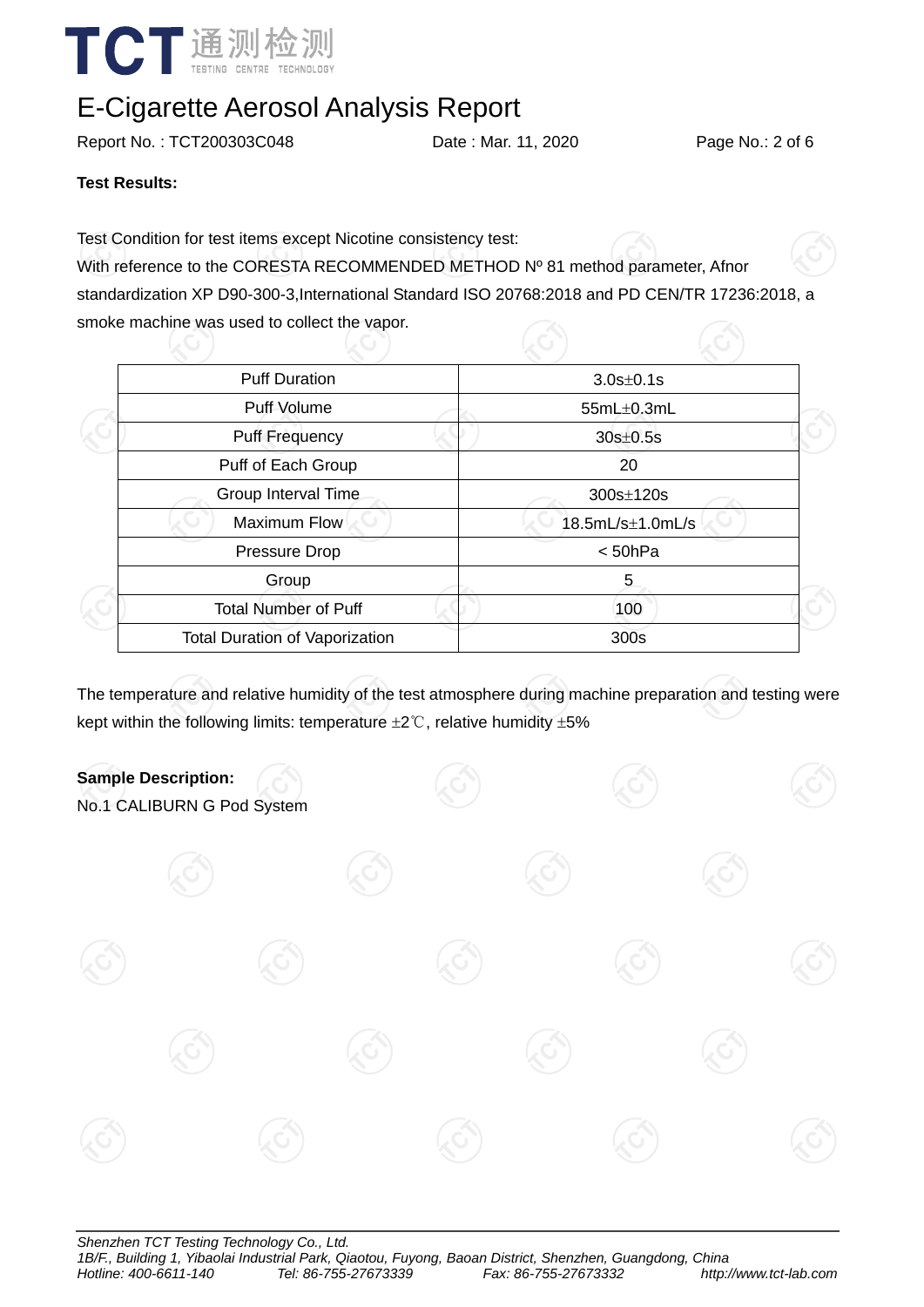

Report No. : TCT200303C048 Date : Mar. 11, 2020 Page No.: 2 of 6

**Test Results:** 

Test Condition for test items except Nicotine consistency test:

With reference to the CORESTA RECOMMENDED METHOD Nº 81 method parameter, Afnor standardization XP D90-300-3,International Standard ISO 20768:2018 and PD CEN/TR 17236:2018, a smoke machine was used to collect the vapor.

| <b>Puff Duration</b><br>Puff Volume   | $3.0s \pm 0.1s$<br>$55mL\pm0.3mL$ |  |  |  |
|---------------------------------------|-----------------------------------|--|--|--|
|                                       |                                   |  |  |  |
|                                       |                                   |  |  |  |
| <b>Puff Frequency</b>                 | $30s \pm 0.5s$                    |  |  |  |
| Puff of Each Group                    | 20                                |  |  |  |
| Group Interval Time                   | 300s±120s                         |  |  |  |
| <b>Maximum Flow</b>                   | 18.5mL/s±1.0mL/s                  |  |  |  |
| Pressure Drop                         | < 50hPa                           |  |  |  |
| Group                                 | 5                                 |  |  |  |
| <b>Total Number of Puff</b>           | 100                               |  |  |  |
| <b>Total Duration of Vaporization</b> | 300s                              |  |  |  |
|                                       |                                   |  |  |  |

The temperature and relative humidity of the test atmosphere during machine preparation and testing were kept within the following limits: temperature  $\pm 2^{\circ}$ C, relative humidity  $\pm 5\%$ 



No.1 CALIBURN G Pod System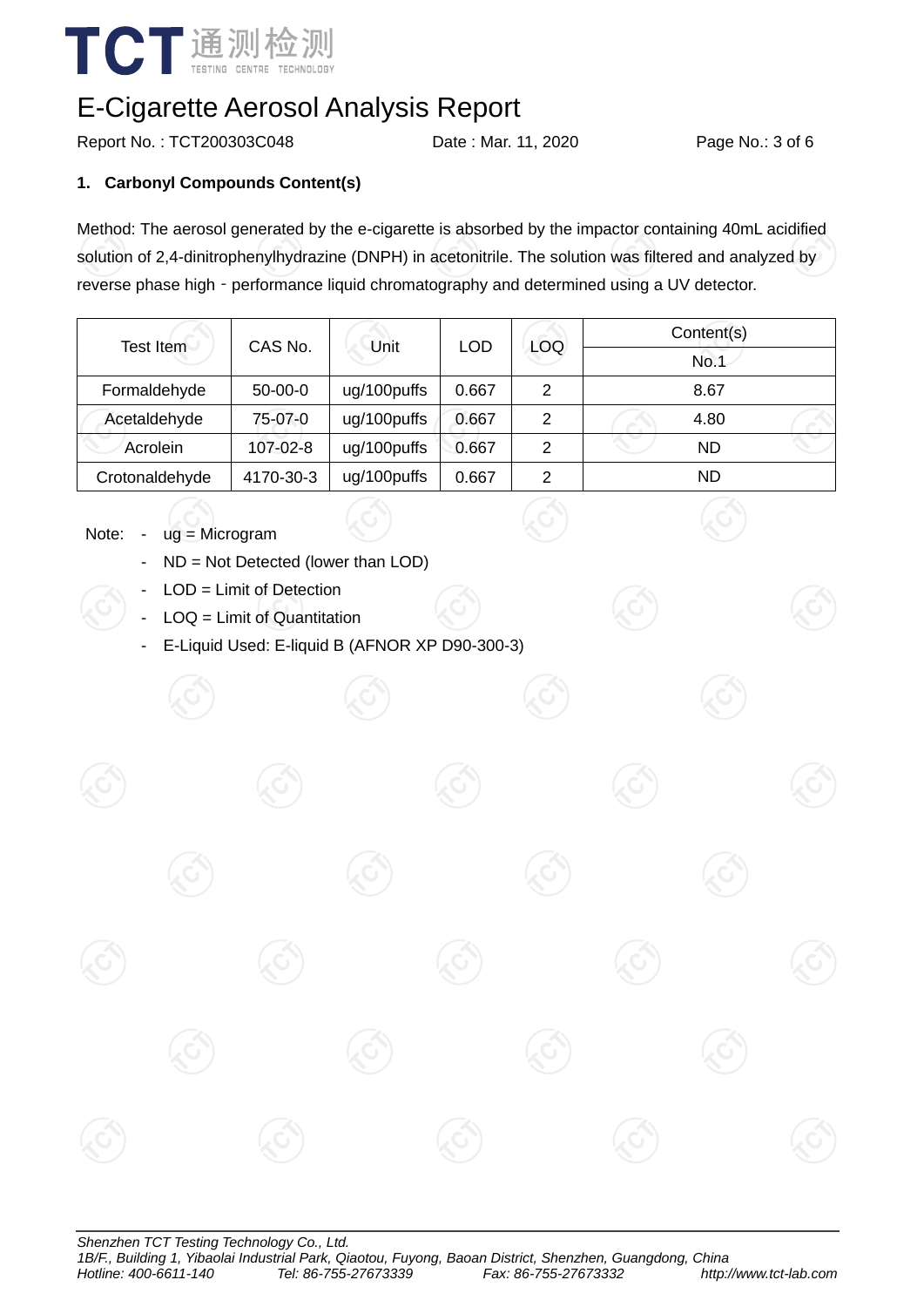

Report No.: TCT200303C048 Date : Mar. 11, 2020 Page No.: 3 of 6

#### **1. Carbonyl Compounds Content(s)**

Method: The aerosol generated by the e-cigarette is absorbed by the impactor containing 40mL acidified solution of 2,4-dinitrophenylhydrazine (DNPH) in acetonitrile. The solution was filtered and analyzed by reverse phase high - performance liquid chromatography and determined using a UV detector.

| <b>Test Item</b> | CAS No.       | Unit        | <b>LOD</b> | <b>LOQ</b> | Content(s) |  |  |
|------------------|---------------|-------------|------------|------------|------------|--|--|
|                  |               |             |            |            | No.1       |  |  |
| Formaldehyde     | $50 - 00 - 0$ | ug/100puffs | 0.667      | 2          | 8.67       |  |  |
| Acetaldehyde     | 75-07-0       | ug/100puffs | 0.667      | 2          | 4.80       |  |  |
| Acrolein         | 107-02-8      | ug/100puffs | 0.667      | 2          | ND         |  |  |
| Crotonaldehyde   | 4170-30-3     | ug/100puffs | 0.667      | 2          | ND         |  |  |

#### Note: - ug = Microgram

- ND = Not Detected (lower than LOD)
- $LOD =$  Limit of Detection
- LOQ = Limit of Quantitation
- E-Liquid Used: E-liquid B (AFNOR XP D90-300-3)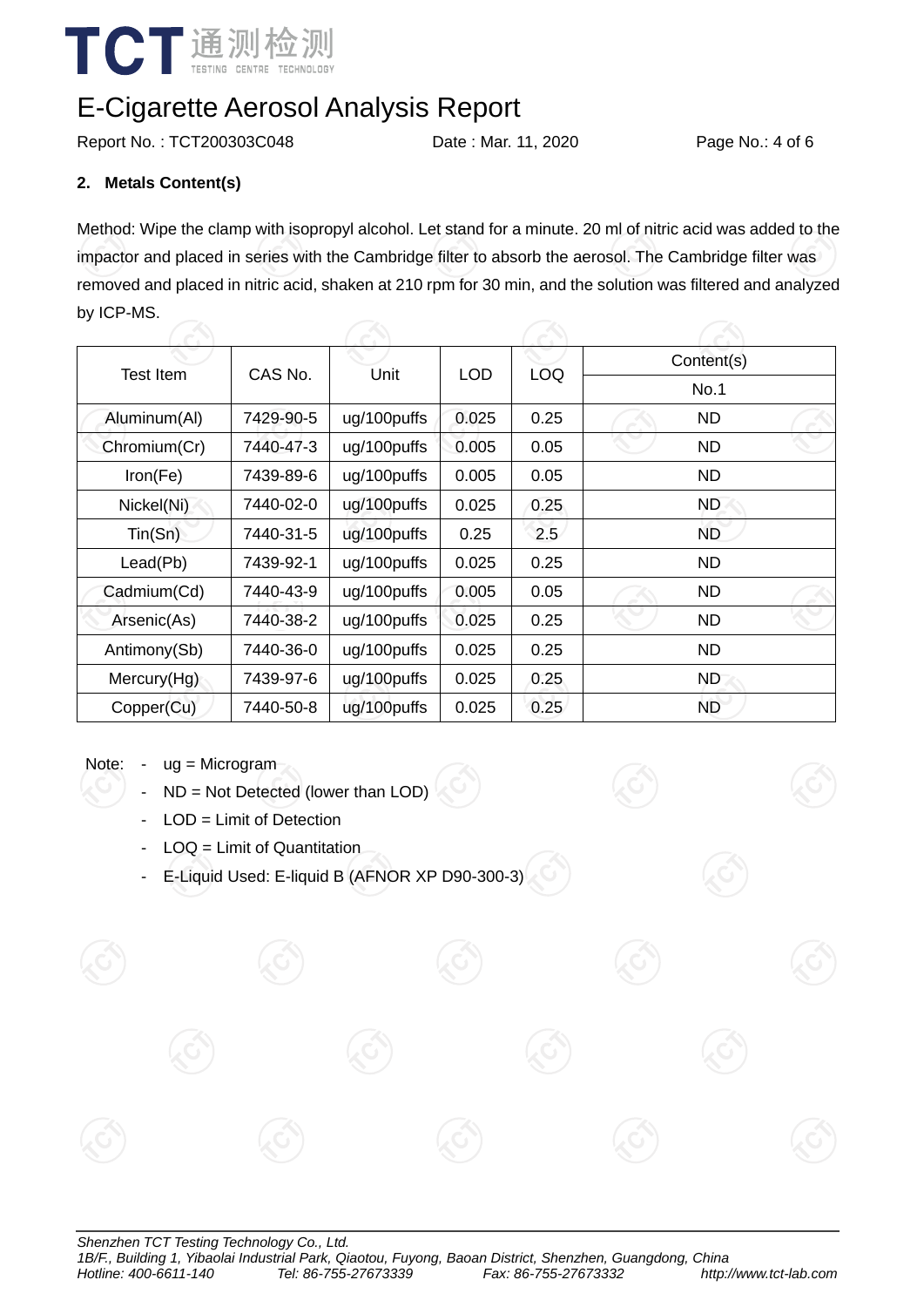

Report No.: TCT200303C048 Date : Mar. 11, 2020 Page No.: 4 of 6

#### **2. Metals Content(s)**

Method: Wipe the clamp with isopropyl alcohol. Let stand for a minute. 20 ml of nitric acid was added to the impactor and placed in series with the Cambridge filter to absorb the aerosol. The Cambridge filter was removed and placed in nitric acid, shaken at 210 rpm for 30 min, and the solution was filtered and analyzed by ICP-MS.

| Test Item    | CAS No.   |             | LOD.  |            | Content(s)  |  |  |  |
|--------------|-----------|-------------|-------|------------|-------------|--|--|--|
|              |           | Unit        |       | <b>LOQ</b> | <b>No.1</b> |  |  |  |
| Aluminum(Al) | 7429-90-5 | ug/100puffs | 0.025 | 0.25       | ND          |  |  |  |
| Chromium(Cr) | 7440-47-3 | ug/100puffs | 0.005 | 0.05       | <b>ND</b>   |  |  |  |
| Iron(Fe)     | 7439-89-6 | ug/100puffs | 0.005 | 0.05       | <b>ND</b>   |  |  |  |
| Nickel(Ni)   | 7440-02-0 | ug/100puffs | 0.025 | 0.25       | <b>ND</b>   |  |  |  |
| Tin(Sn)      | 7440-31-5 | ug/100puffs | 0.25  | 2.5        | <b>ND</b>   |  |  |  |
| Lead(Pb)     | 7439-92-1 | ug/100puffs | 0.025 | 0.25       | <b>ND</b>   |  |  |  |
| Cadmium(Cd)  | 7440-43-9 | ug/100puffs | 0.005 | 0.05       | <b>ND</b>   |  |  |  |
| Arsenic(As)  | 7440-38-2 | ug/100puffs | 0.025 | 0.25       | <b>ND</b>   |  |  |  |
| Antimony(Sb) | 7440-36-0 | ug/100puffs | 0.025 | 0.25       | <b>ND</b>   |  |  |  |
| Mercury(Hg)  | 7439-97-6 | ug/100puffs | 0.025 | 0.25       | ND.         |  |  |  |
| Copper(Cu)   | 7440-50-8 | ug/100puffs | 0.025 | 0.25       | <b>ND</b>   |  |  |  |

#### Note: - ug = Microgram

- $ND = Not$  Detected (lower than LOD)
- LOD = Limit of Detection
- LOQ = Limit of Quantitation
- E-Liquid Used: E-liquid B (AFNOR XP D90-300-3)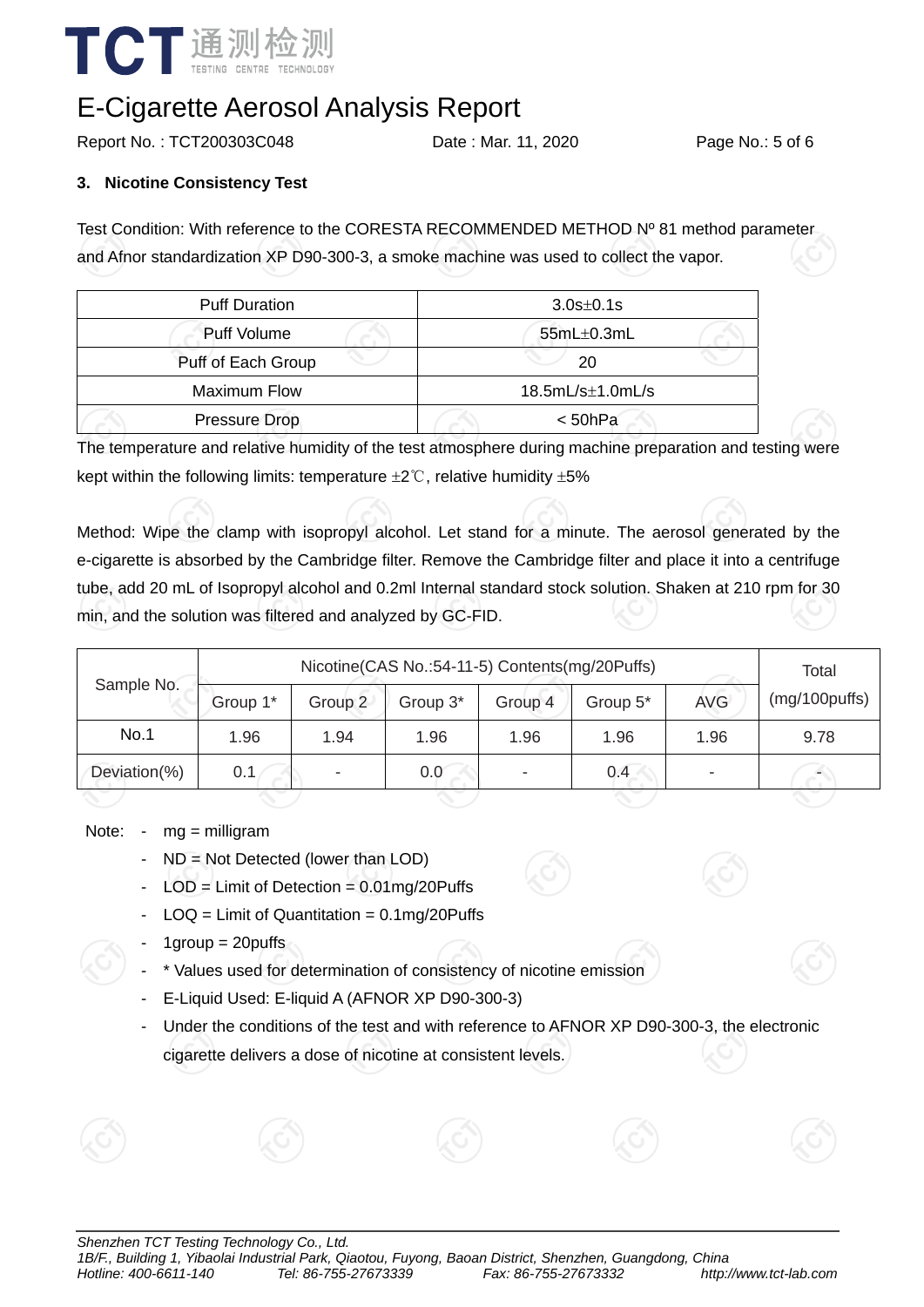

Report No. : TCT200303C048 Date : Mar. 11, 2020 Page No.: 5 of 6

#### **3. Nicotine Consistency Test**

Test Condition: With reference to the CORESTA RECOMMENDED METHOD Nº 81 method parameter and Afnor standardization XP D90-300-3, a smoke machine was used to collect the vapor.

| <b>Puff Duration</b> | $3.0s \pm 0.1s$      |  |  |  |
|----------------------|----------------------|--|--|--|
| <b>Puff Volume</b>   | $55mL\pm0.3mL$       |  |  |  |
| Puff of Each Group   | 20                   |  |  |  |
| Maximum Flow         | $18.5mL/s\pm1.0mL/s$ |  |  |  |
| Pressure Drop        | $<$ 50hPa            |  |  |  |

The temperature and relative humidity of the test atmosphere during machine preparation and testing were kept within the following limits: temperature  $\pm 2^{\circ}$ C, relative humidity  $\pm 5\%$ 

Method: Wipe the clamp with isopropyl alcohol. Let stand for a minute. The aerosol generated by the e-cigarette is absorbed by the Cambridge filter. Remove the Cambridge filter and place it into a centrifuge tube, add 20 mL of Isopropyl alcohol and 0.2ml Internal standard stock solution. Shaken at 210 rpm for 30 min, and the solution was filtered and analyzed by GC-FID.

|              | Nicotine(CAS No.:54-11-5) Contents(mg/20Puffs) |         |          |                          |          |            | Total         |
|--------------|------------------------------------------------|---------|----------|--------------------------|----------|------------|---------------|
| Sample No.   | Group 1*                                       | Group 2 | Group 3* | Group 4                  | Group 5* | <b>AVG</b> | (mg/100puffs) |
| No.1         | 1.96                                           | 1.94    | 1.96     | 1.96                     | 1.96     | 1.96       | 9.78          |
| Deviation(%) | 0.1                                            | ۰       | 0.0      | $\overline{\phantom{0}}$ | 0.4      |            |               |
|              |                                                |         |          |                          |          |            |               |

Note: - mg = milligram

- $ND = Not$  Detected (lower than LOD)
- $LOD = Limit of Detection =  $0.01 \text{mg} / 20 \text{Puffs}$$
- $LOQ =$  Limit of Quantitation = 0.1mg/20Puffs
- $1$ group =  $20$ puffs
- \* Values used for determination of consistency of nicotine emission
- E-Liquid Used: E-liquid A (AFNOR XP D90-300-3)
- Under the conditions of the test and with reference to AFNOR XP D90-300-3, the electronic cigarette delivers a dose of nicotine at consistent levels.